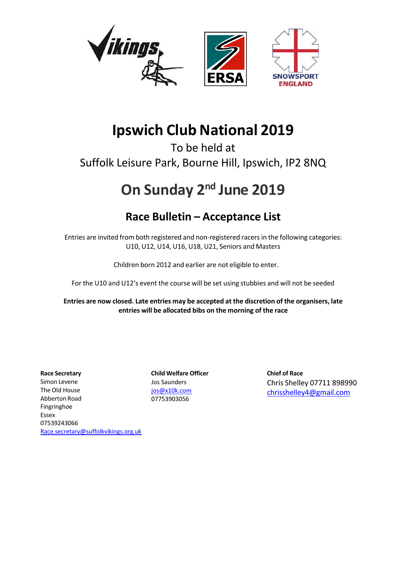

# **Ipswich Club National 2019**

To be held at Suffolk Leisure Park, Bourne Hill, Ipswich, IP2 8NQ

# **On Sunday 2nd June 2019**

# **Race Bulletin – Acceptance List**

Entries are invited from both registered and non-registered racers in the following categories: U10, U12, U14, U16, U18, U21, Seniors and Masters

Children born 2012 and earlier are not eligible to enter.

For the U10 and U12's event the course will be set using stubbies and will not be seeded

**Entries are now closed. Late entries may be accepted at the discretion of the organisers, late entries will be allocated bibs on the morning of the race**

**Race Secretary Child Welfare Officer Chief of Race** Simon Levene The Old House Abberton Road Fingringhoe Essex 07539243066

Jos Saunders jos@x10k.com 07753903056

Chris Shelley 07711 898990 chrisshelley4@gmail.com

Race.secretary@suffolkvikings.org.uk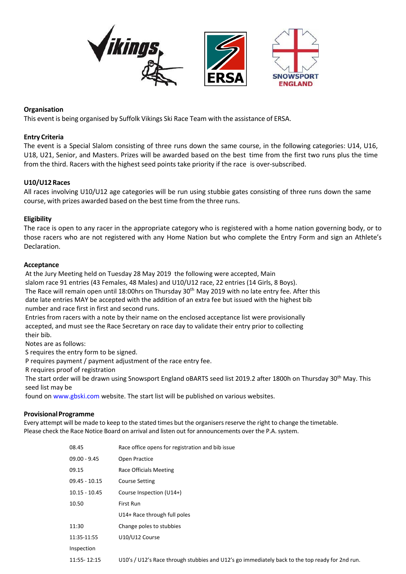

#### **Organisation**

This event is being organised by Suffolk Vikings Ski Race Team with the assistance of ERSA.

#### **Entry Criteria**

The event is a Special Slalom consisting of three runs down the same course, in the following categories: U14, U16, U18, U21, Senior, and Masters. Prizes will be awarded based on the best time from the first two runs plus the time from the third. Racers with the highest seed points take priority if the race is over-subscribed.

#### **U10/U12 Races**

All races involving U10/U12 age categories will be run using stubbie gates consisting of three runs down the same course, with prizes awarded based on the best time from the three runs.

#### **Eligibility**

The race is open to any racer in the appropriate category who is registered with a home nation governing body, or to those racers who are not registered with any Home Nation but who complete the Entry Form and sign an Athlete's Declaration.

#### **Acceptance**

At the Jury Meeting held on Tuesday 28 May 2019 the following were accepted, Main

slalom race 91 entries (43 Females, 48 Males) and U10/U12 race, 22 entries (14 Girls, 8 Boys).

The Race will remain open until 18:00hrs on Thursday 30<sup>th</sup> May 2019 with no late entry fee. After this date late entries MAY be accepted with the addition of an extra fee but issued with the highest bib

number and race first in first and second runs.

Entries from racers with a note by their name on the enclosed acceptance list were provisionally accepted, and must see the Race Secretary on race day to validate their entry prior to collecting their bib.

Notes are as follows:

S requires the entry form to be signed.

P requires payment / payment adjustment of the race entry fee.

R requires proof of registration

The start order will be drawn using Snowsport England oBARTS seed list 2019.2 after 1800h on Thursday 30<sup>th</sup> May. This seed list may be

found on www.gbski.com website. The start list will be published on various websites.

#### **Provisional Programme**

Every attempt will be made to keep to the stated times but the organisers reserve the right to change the timetable. Please check the Race Notice Board on arrival and listen out for announcements over the P.A. system.

| 08.45           | Race office opens for registration and bib issue                                                |
|-----------------|-------------------------------------------------------------------------------------------------|
| $09.00 - 9.45$  | Open Practice                                                                                   |
| 09.15           | Race Officials Meeting                                                                          |
| $09.45 - 10.15$ | <b>Course Setting</b>                                                                           |
| $10.15 - 10.45$ | Course Inspection (U14+)                                                                        |
| 10.50           | First Run                                                                                       |
|                 | U14+ Race through full poles                                                                    |
| 11:30           | Change poles to stubbies                                                                        |
| 11:35-11:55     | U10/U12 Course                                                                                  |
| Inspection      |                                                                                                 |
| 11:55-12:15     | U10's / U12's Race through stubbies and U12's go immediately back to the top ready for 2nd run. |
|                 |                                                                                                 |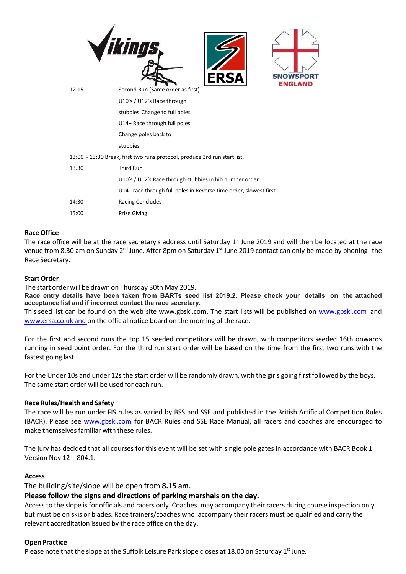

|       | Change poles back to                                                      |
|-------|---------------------------------------------------------------------------|
|       | stubbies                                                                  |
|       | 13:00 - 13:30 Break, first two runs protocol, produce 3rd run start list. |
| 13.30 | Third Run                                                                 |
|       | U10's / U12's Race through stubbies in bib number order                   |
|       | U14+ race through full poles in Reverse time order, slowest first         |
| 14:30 | <b>Racing Concludes</b>                                                   |
| 15:00 | <b>Prize Giving</b>                                                       |

#### **Race Office**

The race office will be at the race secretary's address until Saturday 1st June 2019 and will then be located at the race venue from 8.30 am on Sunday 2<sup>nd</sup> June. After 8pm on Saturday 1<sup>st</sup> June 2019 contact can only be made by phoning the Race Secretary.

#### **Start Order**

The start order will be drawn on Thursday 30th May 2019.

**Race entry details have been taken from BARTs seed list 2019.2. Please check your details on the attached acceptance list and if incorrect contact the race secretary.**

This seed list can be found on the web site www.gbski.com. The start lists will be published on www.gbski.com and www.ersa.co.uk and on the official notice board on the morning of the race.

For the first and second runs the top 15 seeded competitors will be drawn, with competitors seeded 16th onwards running in seed point order. For the third run start order will be based on the time from the first two runs with the fastest going last.

For the Under 10s and under 12s the start order will be randomly drawn, with the girls going first followed by the boys. The same start order will be used for each run.

#### **Race Rules/Health and Safety**

The race will be run under FIS rules as varied by BSS and SSE and published in the British Artificial Competition Rules (BACR). Please see www.gbski.com for BACR Rules and SSE Race Manual, all racers and coaches are encouraged to make themselves familiar with these rules.

The jury has decided that all courses for this event will be set with single pole gates in accordance with BACR Book 1 Version Nov 12 ‐ 804.1.

#### **Access**

The building/site/slope will be open from **8.15 am.**

#### **Please follow the signs and directions of parking marshals on the day.**

Access to the slope is for officials and racers only. Coaches may accompany their racers during course inspection only but must be on skis or blades. Race trainers/coaches who accompany their racers must be qualified and carry the relevant accreditation issued by the race office on the day.

#### **Open Practice**

Please note that the slope at the Suffolk Leisure Park slope closes at 18.00 on Saturday 1st June.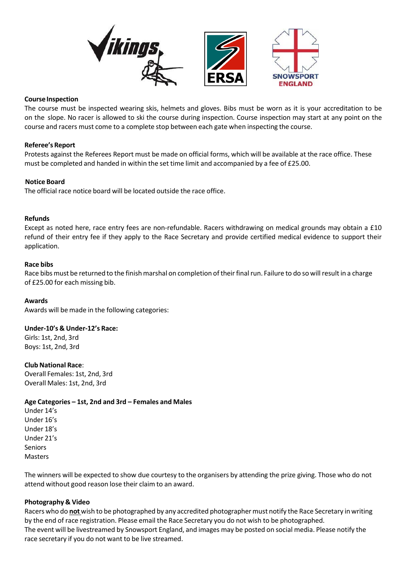

#### **Course Inspection**

The course must be inspected wearing skis, helmets and gloves. Bibs must be worn as it is your accreditation to be on the slope. No racer is allowed to ski the course during inspection. Course inspection may start at any point on the course and racers must come to a complete stop between each gate when inspecting the course.

#### **Referee's Report**

Protests against the Referees Report must be made on official forms, which will be available at the race office. These must be completed and handed in within the set time limit and accompanied by a fee of £25.00.

#### **Notice Board**

The official race notice board will be located outside the race office.

#### **Refunds**

Except as noted here, race entry fees are non-refundable. Racers withdrawing on medical grounds may obtain a £10 refund of their entry fee if they apply to the Race Secretary and provide certified medical evidence to support their application.

#### **Race bibs**

Race bibs must be returned to the finish marshal on completion of their final run. Failure to do so will result in a charge of £25.00 for each missing bib.

#### **Awards**

Awards will be made in the following categories:

#### **Under‐10's & Under‐12's Race:**

Girls: 1st, 2nd, 3rd Boys: 1st, 2nd, 3rd

**Club National Race**: Overall Females: 1st, 2nd, 3rd Overall Males: 1st, 2nd, 3rd

#### **Age Categories – 1st, 2nd and 3rd – Females and Males**

Under 14's Under 16's Under 18's Under 21's Seniors Masters

The winners will be expected to show due courtesy to the organisers by attending the prize giving. Those who do not attend without good reason lose their claim to an award.

#### **Photography & Video**

Racers who do **not** wish to be photographed by any accredited photographer must notify the Race Secretary in writing by the end of race registration. Please email the Race Secretary you do not wish to be photographed. The event will be livestreamed by Snowsport England, and images may be posted on social media. Please notify the race secretary if you do not want to be live streamed.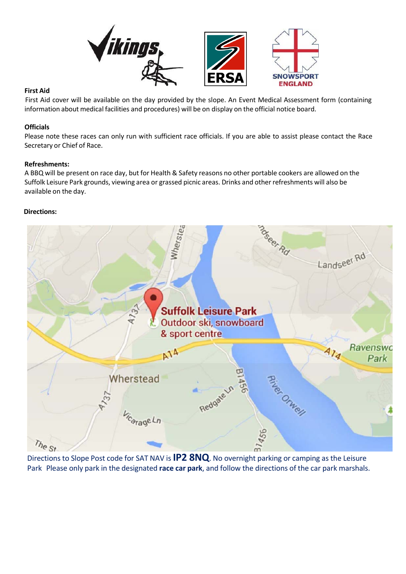

#### **First Aid**

First Aid cover will be available on the day provided by the slope. An Event Medical Assessment form (containing information about medical facilities and procedures) will be on display on the official notice board.

#### **Officials**

Please note these races can only run with sufficient race officials. If you are able to assist please contact the Race Secretary or Chief of Race.

#### **Refreshments:**

A BBQ will be present on race day, but for Health & Safety reasons no other portable cookers are allowed on the Suffolk Leisure Park grounds, viewing area or grassed picnic areas. Drinks and other refreshments will also be available on the day.

#### **Directions:**



Directions to Slope Post code for SAT NAV is **IP2 8NQ**. No overnight parking or camping as the Leisure Park Please only park in the designated **race car park**, and follow the directions of the car park marshals.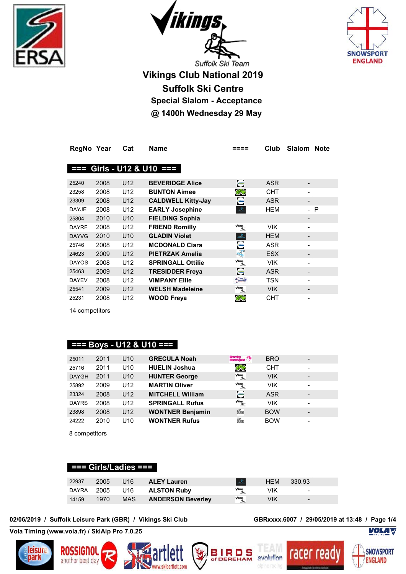





**Vikings Club National 2019 Suffolk Ski Centre Special Slalom - Acceptance @ 1400h Wednesday 29 May**

| <b>RegNo</b> | Year | Cat             | Name                      |                                                          | Club       | Slalom<br><b>Note</b> |  |
|--------------|------|-----------------|---------------------------|----------------------------------------------------------|------------|-----------------------|--|
|              |      |                 |                           |                                                          |            |                       |  |
| 22 E         |      |                 | Girls - U12 & U10 $==$    |                                                          |            |                       |  |
|              |      |                 |                           |                                                          |            |                       |  |
| 25240        | 2008 | U <sub>12</sub> | <b>BEVERIDGE Alice</b>    | $\blacksquare$                                           | <b>ASR</b> |                       |  |
| 23258        | 2008 | U12             | <b>BUNTON Aimee</b>       | CHO                                                      | CHT        |                       |  |
| 23309        | 2008 | U <sub>12</sub> | <b>CALDWELL Kitty-Jay</b> | e                                                        | <b>ASR</b> |                       |  |
| <b>DAYJE</b> | 2008 | U12             | <b>EARLY Josephine</b>    | Æ.                                                       | HEM        | - P                   |  |
| 25804        | 2010 | U <sub>10</sub> | <b>FIELDING Sophia</b>    |                                                          |            |                       |  |
| <b>DAYRF</b> | 2008 | U12             | <b>FRIEND Romilly</b>     | $\sqrt{a_{\rm imp}}$                                     | <b>VIK</b> |                       |  |
| <b>DAYVG</b> | 2010 | U <sub>10</sub> | <b>GLADIN Violet</b>      | $\mathcal{A}_\mathbf{a}$                                 | <b>HEM</b> |                       |  |
| 25746        | 2008 | U12             | <b>MCDONALD Ciara</b>     | ÷                                                        | ASR        |                       |  |
| 24623        | 2009 | U <sub>12</sub> | <b>PIETRZAK Amelia</b>    | 巉                                                        | <b>ESX</b> |                       |  |
| <b>DAYOS</b> | 2008 | U12             | <b>SPRINGALL Ottilie</b>  | $\sqrt{\mathop{\rm diamex}}_{\mathop{\rm dim}\nolimits}$ | VIK.       |                       |  |
| 25463        | 2009 | U <sub>12</sub> | <b>TRESIDDER Freya</b>    | e                                                        | <b>ASR</b> |                       |  |
| <b>DAYEV</b> | 2008 | U12             | <b>VIMPANY Ellie</b>      | 5m/                                                      | TSN        |                       |  |
| 25541        | 2009 | U12             | <b>WELSH Madeleine</b>    | $\frac{1}{4}$                                            | <b>VIK</b> |                       |  |
| 25231        | 2008 | U12             | <b>WOOD Freya</b>         | CHO                                                      | <b>CHT</b> |                       |  |

14 competitors

#### **=== Boys - U12 & U10 ===**

| 25011        | 2011 | U <sub>10</sub> | <b>GRECULA Noah</b>     | Bromley<br>RaceSquad                                | <b>BRO</b> |                 |
|--------------|------|-----------------|-------------------------|-----------------------------------------------------|------------|-----------------|
| 25716        | 2011 | U <sub>10</sub> | <b>HUELIN Joshua</b>    | CHO                                                 | <b>CHT</b> |                 |
| <b>DAYGH</b> | 2011 | U <sub>10</sub> | <b>HUNTER George</b>    | $\sqrt{a}$ ings,                                    | <b>VIK</b> | $\qquad \qquad$ |
| 25892        | 2009 | U <sub>12</sub> | <b>MARTIN Oliver</b>    | $\sqrt{a}$ ings,                                    | <b>VIK</b> | -               |
| 23324        | 2008 | U <sub>12</sub> | <b>MITCHELL William</b> | $\blacksquare$                                      | <b>ASR</b> |                 |
| <b>DAYRS</b> | 2008 | U <sub>12</sub> | <b>SPRINGALL Rufus</b>  | $\sqrt{\mathop{\rm align}_{\mathcal{A}_{\infty}}}.$ | <b>VIK</b> |                 |
| 23898        | 2008 | U <sub>12</sub> | <b>WONTNER Benjamin</b> | <b>BOWLES</b>                                       | <b>BOW</b> |                 |
| 24222        | 2010 | U10             | <b>WONTNER Rufus</b>    | <b>BOWLES</b>                                       | <b>BOW</b> |                 |

8 competitors

#### **=== Girls/Ladies ===**

| 22937 | 2005 | U16        | <b>ALEY Lauren</b>       |                        | <b>HEM</b> | 330.93                   |
|-------|------|------------|--------------------------|------------------------|------------|--------------------------|
| DAYRA | 2005 | U16        | <b>ALSTON Ruby</b>       |                        | VIK        | $\qquad \qquad$          |
| 14159 | 1970 | <b>MAS</b> | <b>ANDERSON Beverley</b> | $\sqrt{\text{charge}}$ | VIK        | $\overline{\phantom{0}}$ |

**02/06/2019 / Suffolk Leisure Park (GBR) / Vikings Ski Club GBRxxxx.6007 / 29/05/2019 at 13:48 / Page 1/4**

racer

**Vola Timing (www.vola.fr) / SkiAlp Pro 7.0.25**











**VOLA V**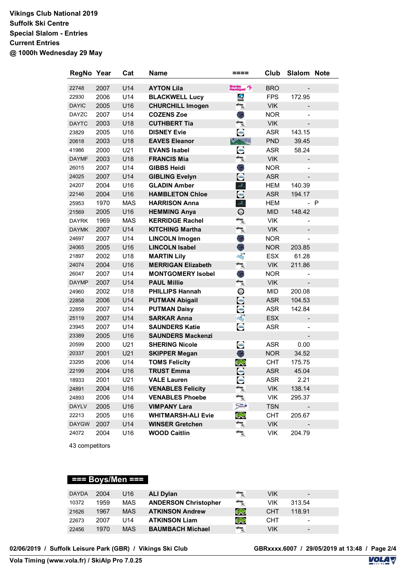## **Vikings Club National 2019 Suffolk Ski Centre Special Slalom - Entries Current Entries @ 1000h Wednesday 29 May**

| RegNo Year   |      | Cat        | <b>Name</b>               | ====                                                                            | Club       | Slalom Note |     |
|--------------|------|------------|---------------------------|---------------------------------------------------------------------------------|------------|-------------|-----|
| 22748        | 2007 | U14        | <b>AYTON Lila</b>         | Bromley<br>RaceSquad                                                            | <b>BRO</b> |             |     |
| 22930        | 2006 | U14        | <b>BLACKWELL Lucy</b>     | ÷                                                                               | <b>FPS</b> | 172.95      |     |
| <b>DAYIC</b> | 2005 | U16        | <b>CHURCHILL Imogen</b>   | $\frac{1}{4}$                                                                   | <b>VIK</b> |             |     |
| <b>DAYZC</b> | 2007 | U14        | <b>COZENS Zoe</b>         | Õ,                                                                              | <b>NOR</b> |             |     |
| <b>DAYTC</b> | 2003 | U18        | <b>CUTHBERT Tia</b>       | $\frac{\sqrt{\text{Rimp}}}{\text{d}\text{L}}$                                   | <b>VIK</b> |             |     |
| 23829        | 2005 | U16        | <b>DISNEY Evie</b>        | e                                                                               | <b>ASR</b> | 143.15      |     |
| 20618        | 2003 | U18        | <b>EAVES Eleanor</b>      | Vandle                                                                          | <b>PND</b> | 39.45       |     |
| 41986        | 2000 | U21        | <b>EVANS Isabel</b>       | e                                                                               | <b>ASR</b> | 58.24       |     |
| <b>DAYMF</b> | 2003 | U18        | <b>FRANCIS Mia</b>        | $\frac{\sqrt{a\log n}}{a\log n}$                                                | <b>VIK</b> |             |     |
| 26015        | 2007 | U14        | <b>GIBBS Heidi</b>        | O.                                                                              | <b>NOR</b> |             |     |
| 24025        | 2007 | U14        | <b>GIBLING Evelyn</b>     | e                                                                               | <b>ASR</b> |             |     |
| 24207        | 2004 | U16        | <b>GLADIN Amber</b>       | str.                                                                            | HEM        | 140.39      |     |
| 22146        | 2004 | U16        | <b>HAMBLETON Chloe</b>    | $\bullet$                                                                       | <b>ASR</b> | 194.17      |     |
| 25953        | 1970 | <b>MAS</b> | <b>HARRISON Anna</b>      | $\mathcal{L}_{\mathbb{R}}$                                                      | <b>HEM</b> |             | - P |
| 21569        | 2005 | U16        | <b>HEMMING Anya</b>       | $\circ$                                                                         | <b>MID</b> | 148.42      |     |
| <b>DAYRK</b> | 1969 | <b>MAS</b> | <b>KERRIDGE Rachel</b>    | $\frac{1}{\sqrt{2}}$                                                            | <b>VIK</b> |             |     |
| <b>DAYMK</b> | 2007 | U14        | <b>KITCHING Martha</b>    | $\frac{\sqrt{\text{a} \cdot \text{a}} \cdot \text{a}}{\text{a} \cdot \text{a}}$ | <b>VIK</b> |             |     |
| 24697        | 2007 | U14        | <b>LINCOLN Imogen</b>     | O                                                                               | <b>NOR</b> |             |     |
| 24065        | 2005 | U16        | <b>LINCOLN Isabel</b>     | O                                                                               | <b>NOR</b> | 203.85      |     |
| 21897        | 2002 | U18        | <b>MARTIN Lily</b>        | 蠔                                                                               | <b>ESX</b> | 61.28       |     |
| 24074        | 2004 | U16        | <b>MERRIGAN Elizabeth</b> | $\frac{\sqrt{a\log n}}{a\log n}$                                                | <b>VIK</b> | 211.86      |     |
| 26047        | 2007 | U14        | <b>MONTGOMERY Isobel</b>  | O.                                                                              | <b>NOR</b> |             |     |
| <b>DAYMP</b> | 2007 | U14        | <b>PAUL Millie</b>        | $\frac{\sqrt{\text{Rimp}}}{\text{d}\text{L}}$                                   | <b>VIK</b> |             |     |
| 24960        | 2002 | U18        | <b>PHILLIPS Hannah</b>    | $\circledcirc$                                                                  | <b>MID</b> | 200.08      |     |
| 22858        | 2006 | U14        | <b>PUTMAN Abigail</b>     | ÷                                                                               | <b>ASR</b> | 104.53      |     |
| 22859        | 2007 | U14        | <b>PUTMAN Daisy</b>       | 9                                                                               | <b>ASR</b> | 142.84      |     |
| 25119        | 2007 | U14        | <b>SARKAR Anna</b>        | 蠔                                                                               | <b>ESX</b> |             |     |
| 23945        | 2007 | U14        | <b>SAUNDERS Katie</b>     | ÷                                                                               | <b>ASR</b> |             |     |
| 23389        | 2005 | U16        | <b>SAUNDERS Mackenzi</b>  |                                                                                 |            |             |     |
| 20599        | 2000 | U21        | <b>SHERING Nicole</b>     | $\blacksquare$                                                                  | <b>ASR</b> | 0.00        |     |
| 20337        | 2001 | U21        | <b>SKIPPER Megan</b>      | O                                                                               | <b>NOR</b> | 34.52       |     |
| 23295        | 2006 | U14        | <b>TOMS Felicity</b>      | CHO                                                                             | <b>CHT</b> | 175.75      |     |
| 22199        | 2004 | U16        | <b>TRUST Emma</b>         | θ                                                                               | <b>ASR</b> | 45.04       |     |
| 18933        | 2001 | U21        | <b>VALE Lauren</b>        | ÷                                                                               | ASR        | 2.21        |     |
| 24891        | 2004 | U16        | <b>VENABLES Felicity</b>  | $\sqrt{a\log a}$                                                                | <b>VIK</b> | 138.14      |     |
| 24893        | 2006 | U14        | <b>VENABLES Phoebe</b>    | $\sqrt{a}$ inga, $a_{\overline{a}}$                                             | VIK        | 295.37      |     |
| <b>DAYLV</b> | 2005 | U16        | <b>VIMPANY Lara</b>       | $5 - 1$                                                                         | <b>TSN</b> |             |     |
| 22213        | 2005 | U16        | <b>WHITMARSH-ALI Evie</b> | CHO                                                                             | <b>CHT</b> | 205.67      |     |
| <b>DAYGW</b> | 2007 | U14        | <b>WINSER Gretchen</b>    | $\frac{1}{\sqrt{2}}$                                                            | <b>VIK</b> |             |     |
| 24072        | 2004 | U16        | <b>WOOD Caitlin</b>       | $\frac{1}{4}$                                                                   | VIK        | 204.79      |     |

43 competitors

## **=== Boys/Men ===**

| <b>DAYDA</b> | 2004 | U16        | <b>ALI Dylan</b>            | $\sqrt{\text{charge}}$         | VIK        | $\overline{\phantom{0}}$ |  |
|--------------|------|------------|-----------------------------|--------------------------------|------------|--------------------------|--|
| 10372        | 1959 | <b>MAS</b> | <b>ANDERSON Christopher</b> | <b>Vikings,</b><br>Ak          | VIK        | 313.54                   |  |
| 21626        | 1967 | <b>MAS</b> | <b>ATKINSON Andrew</b>      | CAR                            | <b>CHT</b> | 118.91                   |  |
| 22673        | 2007 | U14        | <b>ATKINSON Liam</b>        | CAR                            | CHT        | $\overline{\phantom{0}}$ |  |
| 22456        | 1970 | <b>MAS</b> | <b>BAUMBACH Michael</b>     | $\sqrt{\text{a} \text{log} x}$ | VIK        | $\overline{\phantom{0}}$ |  |

02/06/2019 / Suffolk Leisure Park (GBR) / Vikings Ski Club

**Vola Timing (www.vola.fr) / SkiAlp Pro 7.0.25**

**GBRxxxx.6007** / 29/05/2019 at 13:48 / Page 2/4

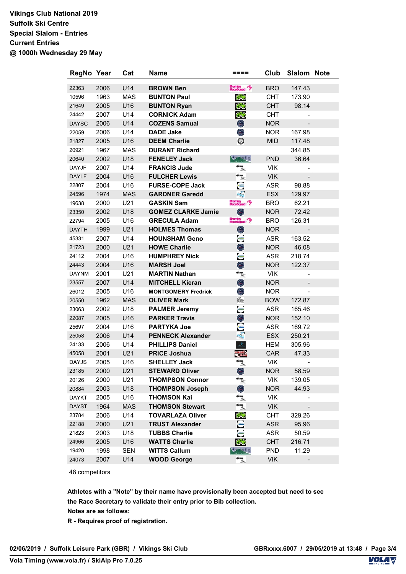## **Vikings Club National 2019 Suffolk Ski Centre Special Slalom - Entries Current Entries @ 1000h Wednesday 29 May**

| RegNo Year   |      | Cat        | Name                       | ====                                          | Club       | Slalom Note |  |
|--------------|------|------------|----------------------------|-----------------------------------------------|------------|-------------|--|
| 22363        | 2006 | U14        | <b>BROWN Ben</b>           | Bromley<br>RaceSquad                          | <b>BRO</b> | 147.43      |  |
| 10596        | 1963 | <b>MAS</b> | <b>BUNTON Paul</b>         | CHO                                           | <b>CHT</b> | 173.90      |  |
| 21649        | 2005 | U16        | <b>BUNTON Ryan</b>         | CAR                                           | <b>CHT</b> | 98.14       |  |
| 24442        | 2007 | U14        | <b>CORNICK Adam</b>        | CHO                                           | <b>CHT</b> |             |  |
| <b>DAYSC</b> | 2006 | U14        | <b>COZENS Samual</b>       | O                                             | <b>NOR</b> |             |  |
| 22059        | 2006 | U14        | <b>DADE Jake</b>           | O,                                            | <b>NOR</b> | 167.98      |  |
| 21827        | 2005 | U16        | <b>DEEM Charlie</b>        | $\circ$                                       | <b>MID</b> | 117.48      |  |
| 20921        | 1967 | <b>MAS</b> | <b>DURANT Richard</b>      |                                               |            | 344.85      |  |
| 20640        | 2002 | U18        | <b>FENELEY Jack</b>        | tendle                                        | <b>PND</b> | 36.64       |  |
| <b>DAYJF</b> | 2007 | U14        | <b>FRANCIS Jude</b>        | <b>Vikings,</b><br>Alim                       | <b>VIK</b> |             |  |
| <b>DAYLF</b> | 2004 | U16        | <b>FULCHER Lewis</b>       | $\frac{\sqrt{\text{Rings}}}{\text{d} \omega}$ | <b>VIK</b> |             |  |
| 22807        | 2004 | U16        | <b>FURSE-COPE Jack</b>     | e                                             | <b>ASR</b> | 98.88       |  |
| 24596        | 1974 | <b>MAS</b> | <b>GARDNER Garedd</b>      | a\$                                           | <b>ESX</b> | 129.97      |  |
| 19638        | 2000 | U21        | <b>GASKIN Sam</b>          | Bromley<br>RaceSquad                          | <b>BRO</b> | 62.21       |  |
| 23350        | 2002 | U18        | <b>GOMEZ CLARKE Jamie</b>  | O                                             | <b>NOR</b> | 72.42       |  |
| 22794        | 2005 | U16        | <b>GRECULA Adam</b>        | Bromley<br>RaceSquad                          | <b>BRO</b> | 126.31      |  |
| <b>DAYTH</b> | 1999 | U21        | <b>HOLMES Thomas</b>       | ۸                                             | <b>NOR</b> |             |  |
| 45331        | 2007 | U14        | <b>HOUNSHAM Geno</b>       | e                                             | ASR        | 163.52      |  |
| 21723        | 2000 | U21        | <b>HOWE Charlie</b>        | O                                             | <b>NOR</b> | 46.08       |  |
| 24112        | 2004 | U16        | <b>HUMPHREY Nick</b>       | e                                             | <b>ASR</b> | 218.74      |  |
| 24443        | 2004 | U16        | <b>MARSH Joel</b>          | O                                             | <b>NOR</b> | 122.37      |  |
| <b>DAYNM</b> | 2001 | U21        | <b>MARTIN Nathan</b>       | $\sqrt{a_{\rm imp}}$                          | <b>VIK</b> |             |  |
| 23557        | 2007 | U14        | <b>MITCHELL Kieran</b>     | O                                             | <b>NOR</b> |             |  |
| 26012        | 2005 | U16        | <b>MONTGOMERY Fredrick</b> | O                                             | <b>NOR</b> |             |  |
| 20550        | 1962 | <b>MAS</b> | <b>OLIVER Mark</b>         | <b>BOWLES</b>                                 | <b>BOW</b> | 172.87      |  |
| 23063        | 2002 | U18        | <b>PALMER Jeremy</b>       | e                                             | <b>ASR</b> | 165.46      |  |
| 22087        | 2005 | U16        | <b>PARKER Travis</b>       | O                                             | <b>NOR</b> | 152.10      |  |
| 25697        | 2004 | U16        | <b>PARTYKA Joe</b>         | Ξ                                             | <b>ASR</b> | 169.72      |  |
| 25058        | 2006 | U14        | <b>PENNECK Alexander</b>   | $\frac{1}{2}$                                 | <b>ESX</b> | 250.21      |  |
| 24133        | 2006 | U14        | <b>PHILLIPS Daniel</b>     | $\mathcal{L}_\mathrm{L}$                      | HEM        | 305.96      |  |
| 45058        | 2001 | U21        | <b>PRICE Joshua</b>        | <b>CARDINA</b>                                | CAR        | 47.33       |  |
| <b>DAYJS</b> | 2005 | U16        | <b>SHELLEY Jack</b>        |                                               | <b>VIK</b> |             |  |
| 23185        | 2000 | U21        | <b>STEWARD Oliver</b>      | O                                             | <b>NOR</b> | 58.59       |  |
| 20126        | 2000 | U21        | <b>THOMPSON Connor</b>     | $\sqrt{\text{diam}_{\mathcal{B}_\infty}}$     | VIK        | 139.05      |  |
| 20884        | 2003 | U18        | <b>THOMPSON Joseph</b>     | ۸                                             | <b>NOR</b> | 44.93       |  |
| <b>DAYKT</b> | 2005 | U16        | <b>THOMSON Kai</b>         | √ikinga,<br>∴iki                              | VIK        |             |  |
| <b>DAYST</b> | 1964 | <b>MAS</b> | <b>THOMSON Stewart</b>     | $\frac{\sqrt{a\log n}}{a\log n}$              | <b>VIK</b> |             |  |
| 23784        | 2006 | U14        | <b>TOVARLAZA Oliver</b>    | CHO                                           | <b>CHT</b> | 329.26      |  |
| 22188        | 2000 | U21        | <b>TRUST Alexander</b>     | $\bullet$                                     | <b>ASR</b> | 95.96       |  |
| 21823        | 2003 | U18        | <b>TUBBS Charlie</b>       | e                                             | <b>ASR</b> | 50.59       |  |
| 24966        | 2005 | U16        | <b>WATTS Charlie</b>       | CHO                                           | <b>CHT</b> | 216.71      |  |
| 19420        | 1998 | <b>SEN</b> | <b>WITTS Callum</b>        | Candle                                        | <b>PND</b> | 11.29       |  |
| 24073        | 2007 | U14        | <b>WOOD George</b>         | $\frac{1}{4}$                                 | <b>VIK</b> |             |  |

48 competitors

**Athletes with a "Note" by their name have provisionally been accepted but need to see the Race Secretary to validate their entry prior to Bib collection. Notes are as follows:**

**R - Requires proof of registration.** 

**02/06/2019 / Suffolk Leisure Park (GBR) / Vikings Ski Club GBRxxxx.6007 / 29/05/2019 at 13:48 / Page 3/4**